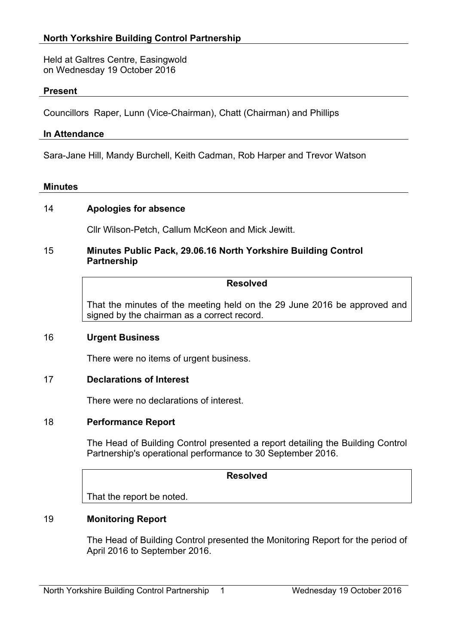Held at Galtres Centre, Easingwold on Wednesday 19 October 2016

# **Present**

Councillors Raper, Lunn (Vice-Chairman), Chatt (Chairman) and Phillips

#### **In Attendance**

Sara-Jane Hill, Mandy Burchell, Keith Cadman, Rob Harper and Trevor Watson

#### **Minutes**

## 14 **Apologies for absence**

Cllr Wilson-Petch, Callum McKeon and Mick Jewitt.

#### 15 **Minutes Public Pack, 29.06.16 North Yorkshire Building Control Partnership**

## **Resolved**

That the minutes of the meeting held on the 29 June 2016 be approved and signed by the chairman as a correct record.

#### 16 **Urgent Business**

There were no items of urgent business.

#### 17 **Declarations of Interest**

There were no declarations of interest.

#### 18 **Performance Report**

The Head of Building Control presented a report detailing the Building Control Partnership's operational performance to 30 September 2016.

# **Resolved**

That the report be noted.

## 19 **Monitoring Report**

The Head of Building Control presented the Monitoring Report for the period of April 2016 to September 2016.